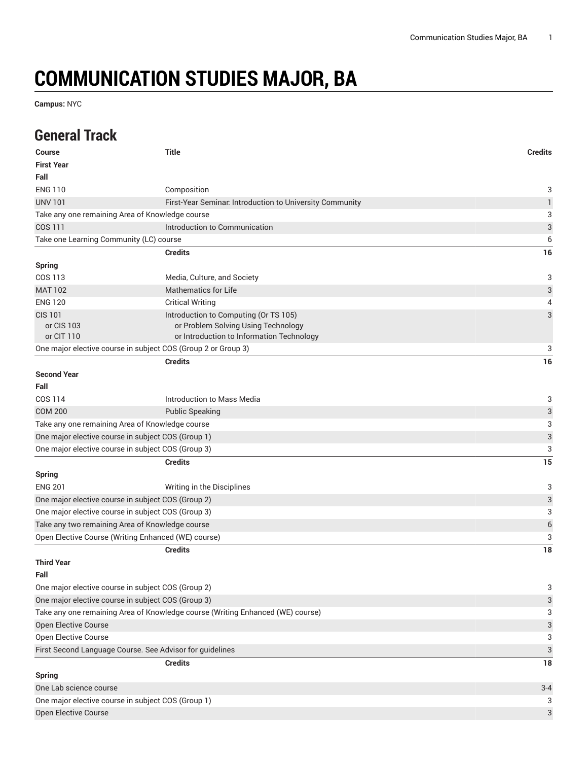## **COMMUNICATION STUDIES MAJOR, BA**

**Campus:** NYC

## **General Track**

| <b>Course</b>                                                                                            | <b>Title</b>                                                                     | <b>Credits</b>            |
|----------------------------------------------------------------------------------------------------------|----------------------------------------------------------------------------------|---------------------------|
| <b>First Year</b>                                                                                        |                                                                                  |                           |
| Fall                                                                                                     |                                                                                  |                           |
| <b>ENG 110</b>                                                                                           | Composition                                                                      | 3                         |
| <b>UNV 101</b>                                                                                           | First-Year Seminar. Introduction to University Community                         | $\mathbf{1}$              |
| Take any one remaining Area of Knowledge course                                                          |                                                                                  | 3                         |
| COS 111                                                                                                  | Introduction to Communication                                                    | $\ensuremath{\mathsf{3}}$ |
| Take one Learning Community (LC) course                                                                  |                                                                                  | 6                         |
|                                                                                                          | <b>Credits</b>                                                                   | 16                        |
| <b>Spring</b>                                                                                            |                                                                                  |                           |
| COS 113                                                                                                  | Media, Culture, and Society                                                      | 3                         |
| <b>MAT 102</b>                                                                                           | <b>Mathematics for Life</b>                                                      | 3                         |
| <b>ENG 120</b>                                                                                           | <b>Critical Writing</b>                                                          | 4                         |
| <b>CIS 101</b>                                                                                           | Introduction to Computing (Or TS 105)                                            | 3                         |
| or CIS 103<br>or CIT 110                                                                                 | or Problem Solving Using Technology<br>or Introduction to Information Technology |                           |
| One major elective course in subject COS (Group 2 or Group 3)                                            |                                                                                  | 3                         |
|                                                                                                          | <b>Credits</b>                                                                   | 16                        |
| <b>Second Year</b>                                                                                       |                                                                                  |                           |
| Fall                                                                                                     |                                                                                  |                           |
| COS 114                                                                                                  | Introduction to Mass Media                                                       |                           |
| <b>COM 200</b>                                                                                           | <b>Public Speaking</b>                                                           | 3<br>3                    |
| Take any one remaining Area of Knowledge course                                                          |                                                                                  | 3                         |
| One major elective course in subject COS (Group 1)                                                       |                                                                                  | 3                         |
| One major elective course in subject COS (Group 3)                                                       |                                                                                  | 3                         |
|                                                                                                          | <b>Credits</b>                                                                   | 15                        |
| <b>Spring</b>                                                                                            |                                                                                  |                           |
| <b>ENG 201</b>                                                                                           |                                                                                  | 3                         |
|                                                                                                          | Writing in the Disciplines                                                       | 3                         |
| One major elective course in subject COS (Group 2)<br>One major elective course in subject COS (Group 3) |                                                                                  |                           |
| Take any two remaining Area of Knowledge course                                                          |                                                                                  | 3<br>6                    |
| Open Elective Course (Writing Enhanced (WE) course)                                                      |                                                                                  | 3                         |
|                                                                                                          | <b>Credits</b>                                                                   | 18                        |
| <b>Third Year</b>                                                                                        |                                                                                  |                           |
| Fall                                                                                                     |                                                                                  |                           |
| One major elective course in subject COS (Group 2)                                                       |                                                                                  | 3                         |
| One major elective course in subject COS (Group 3)                                                       |                                                                                  | 3                         |
| Take any one remaining Area of Knowledge course (Writing Enhanced (WE) course)                           |                                                                                  |                           |
| Open Elective Course                                                                                     |                                                                                  | 3<br>3                    |
| Open Elective Course                                                                                     |                                                                                  | 3                         |
| First Second Language Course. See Advisor for guidelines                                                 |                                                                                  | 3                         |
|                                                                                                          | <b>Credits</b>                                                                   | 18                        |
| <b>Spring</b>                                                                                            |                                                                                  |                           |
| One Lab science course                                                                                   |                                                                                  | $3 - 4$                   |
| One major elective course in subject COS (Group 1)                                                       |                                                                                  | 3                         |
| Open Elective Course                                                                                     |                                                                                  | 3                         |
|                                                                                                          |                                                                                  |                           |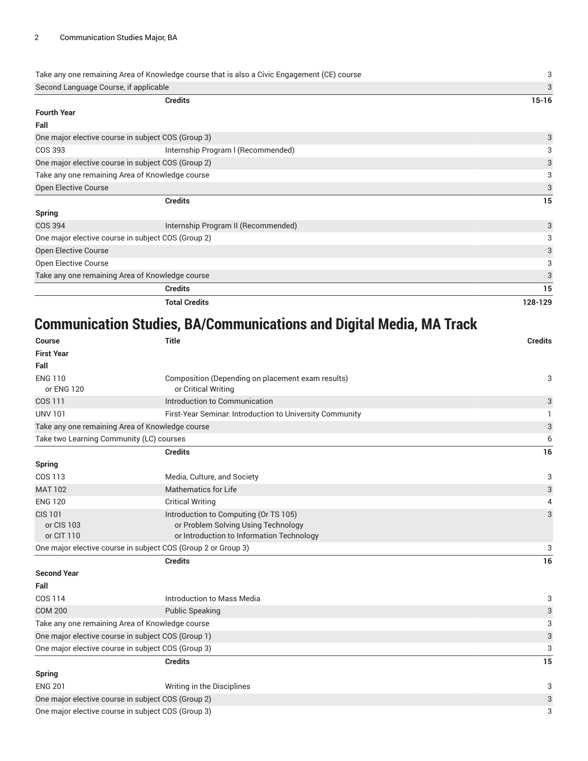|                                                    | Take any one remaining Area of Knowledge course that is also a Civic Engagement (CE) course | 3         |
|----------------------------------------------------|---------------------------------------------------------------------------------------------|-----------|
| Second Language Course, if applicable              |                                                                                             | 3         |
|                                                    | <b>Credits</b>                                                                              | $15 - 16$ |
| <b>Fourth Year</b>                                 |                                                                                             |           |
| Fall                                               |                                                                                             |           |
|                                                    | One major elective course in subject COS (Group 3)                                          | 3         |
| COS 393                                            | Internship Program I (Recommended)                                                          | 3         |
| One major elective course in subject COS (Group 2) | 3                                                                                           |           |
| Take any one remaining Area of Knowledge course    |                                                                                             | 3         |
| Open Elective Course                               |                                                                                             | 3         |
|                                                    | <b>Credits</b>                                                                              | 15        |
| <b>Spring</b>                                      |                                                                                             |           |
| <b>COS 394</b>                                     | Internship Program II (Recommended)                                                         | 3         |
| One major elective course in subject COS (Group 2) |                                                                                             | 3         |
| <b>Open Elective Course</b>                        |                                                                                             | 3         |
| Open Elective Course                               |                                                                                             | 3         |
| Take any one remaining Area of Knowledge course    |                                                                                             | 3         |
|                                                    | <b>Credits</b>                                                                              | 15        |
|                                                    | <b>Total Credits</b>                                                                        | 128-129   |

## **Communication Studies, BA/Communications and Digital Media, MA Track**

| <b>Course</b>                                                 | <b>Title</b>                                                                                                              | <b>Credits</b>            |  |
|---------------------------------------------------------------|---------------------------------------------------------------------------------------------------------------------------|---------------------------|--|
| <b>First Year</b>                                             |                                                                                                                           |                           |  |
| Fall                                                          |                                                                                                                           |                           |  |
| <b>ENG 110</b><br>or ENG 120                                  | Composition (Depending on placement exam results)<br>or Critical Writing                                                  | 3                         |  |
| <b>COS 111</b>                                                | Introduction to Communication                                                                                             | 3                         |  |
| <b>UNV 101</b>                                                | First-Year Seminar. Introduction to University Community                                                                  |                           |  |
| Take any one remaining Area of Knowledge course               |                                                                                                                           | 3                         |  |
| Take two Learning Community (LC) courses                      |                                                                                                                           | 6                         |  |
|                                                               | <b>Credits</b>                                                                                                            | 16                        |  |
| <b>Spring</b>                                                 |                                                                                                                           |                           |  |
| COS 113                                                       | Media, Culture, and Society                                                                                               | 3                         |  |
| <b>MAT 102</b>                                                | <b>Mathematics for Life</b>                                                                                               | 3                         |  |
| <b>ENG 120</b>                                                | <b>Critical Writing</b>                                                                                                   | 4                         |  |
| <b>CIS 101</b><br>or CIS 103<br>or CIT 110                    | Introduction to Computing (Or TS 105)<br>or Problem Solving Using Technology<br>or Introduction to Information Technology | 3                         |  |
| One major elective course in subject COS (Group 2 or Group 3) |                                                                                                                           | 3                         |  |
|                                                               | <b>Credits</b>                                                                                                            | 16                        |  |
| <b>Second Year</b>                                            |                                                                                                                           |                           |  |
| Fall                                                          |                                                                                                                           |                           |  |
| COS 114                                                       | Introduction to Mass Media                                                                                                | 3                         |  |
| <b>COM 200</b>                                                | <b>Public Speaking</b>                                                                                                    | 3                         |  |
| Take any one remaining Area of Knowledge course               | 3                                                                                                                         |                           |  |
| One major elective course in subject COS (Group 1)            |                                                                                                                           | $\sqrt{3}$                |  |
| One major elective course in subject COS (Group 3)            |                                                                                                                           | $\ensuremath{\mathsf{3}}$ |  |
|                                                               | <b>Credits</b>                                                                                                            | 15                        |  |
| <b>Spring</b>                                                 |                                                                                                                           |                           |  |
| <b>ENG 201</b>                                                | Writing in the Disciplines                                                                                                | 3                         |  |
| One major elective course in subject COS (Group 2)            |                                                                                                                           |                           |  |
| One major elective course in subject COS (Group 3)            |                                                                                                                           |                           |  |